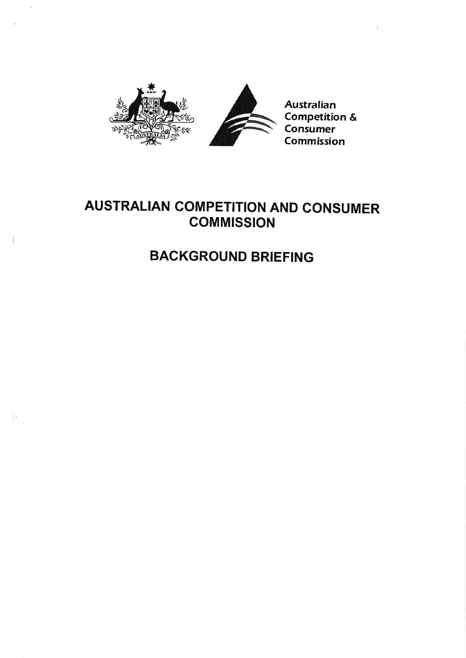

 $\tilde{L}$ 

 $\frac{1}{4}$ 



Australian Competition & **Consumer** Commission

 $\frac{1}{2}$ 

# AUSTRALIAN COMPETITION AND GONSUMER **COMMISSION**

# BACKGROUND BRIEFING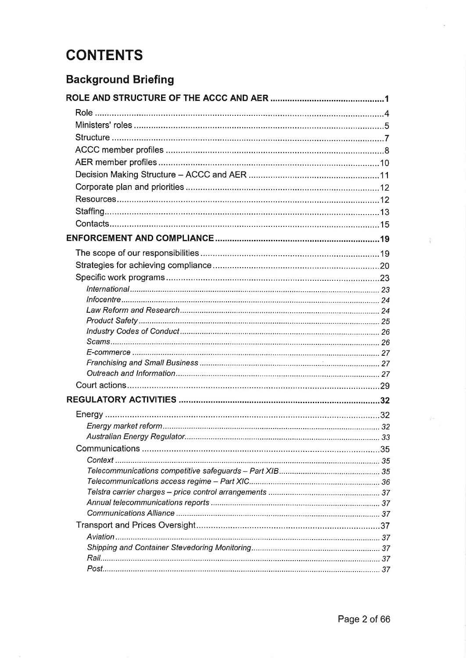# **CONTENTS**

# Background Briefing

 $\overline{\Omega}$ 

Ťs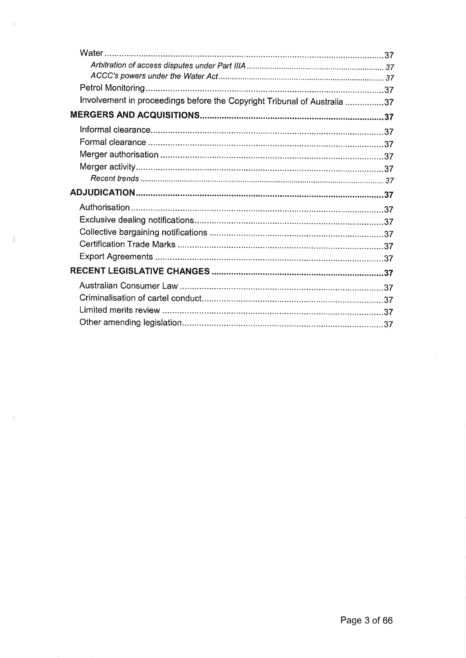| Involvement in proceedings before the Copyright Tribunal of Australia 37 |  |
|--------------------------------------------------------------------------|--|
|                                                                          |  |
|                                                                          |  |
|                                                                          |  |
|                                                                          |  |
|                                                                          |  |
|                                                                          |  |
|                                                                          |  |
|                                                                          |  |
|                                                                          |  |
|                                                                          |  |
|                                                                          |  |
|                                                                          |  |
|                                                                          |  |
|                                                                          |  |
|                                                                          |  |
|                                                                          |  |
|                                                                          |  |
|                                                                          |  |

 $\mathcal{S}$ 

 $-\frac{1}{2}$ 

 $\sim$   $\lambda$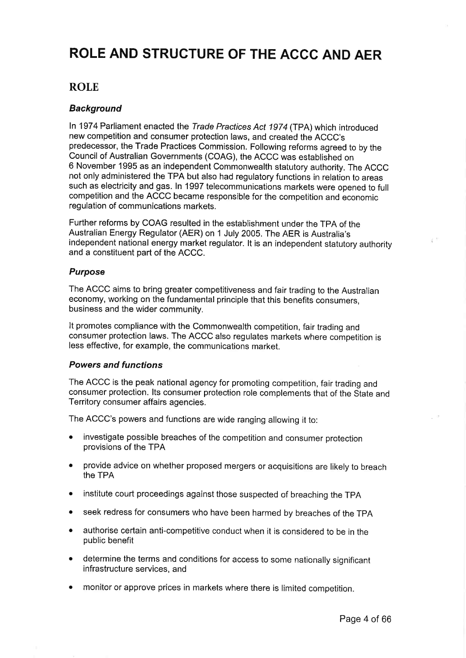# ROLE AND STRUCTURE OF THE ACCC AND AER

## ROLE

#### **Background**

In 1974 Parliament enacted the Trade Practices Act 1974 (TPA) which introduced new competition and consumer protection laws, and created the ACCC's predecessor, the Trade Practices Commission. Following reforms agreed to by the council of Australian Governments (COAG), the ACCC was established on 6 November 1995 as an independent Commonwealth statutory authority. The ACCC not only administered the TPA but also had regulatory functions in relation to areas such as electricity and gas. In 1997 telecommunications markets were opened to full competition and the ACCC became responsible for the competition and economic regulation of communications markets.

Further reforms by COAG resulted in the establishment under the TPA of the Australian Energy Regulator (AER) on 1 July 2005. The AER is Australia's independent national energy market regulator. lt is an independent statutory authority and a constituent part of the ACCC.

#### Purpose

The ACCC aims to bring greater competitiveness and fair trading to the Australian economy, working on the fundamental principle that this benefits consumers, business and the wider community.

It promotes compliance with the commonwealth competition, fair trading and consumer protection laws. The ACCC also regulates markets where competition is less effective, for example, the communications market.

#### Powers and functions

The ACCC is the peak national agency for promoting competition, fair trading and consumer protection. lts consumer protection role complements that of the State and Territory consumer affairs agencies.

The ACCC's powers and functions are wide ranging allowing it to:

- investigate possible breaches of the competition and consumer protection provisions of the TPA
- provide advice on whether proposed mergers or acquisitions are likely to breach the TPA
- institute court proceedings against those suspected of breaching the TPA
- seek redress for consumers who have been harmed by breaches of the TPA
- o authorise certain anti-competitive conduct when it is considered to be in the public benefit
- determine the terms and conditions for access to some nationally significant infrastructure seruices, and
- monitor or approve prices in markets where there is limited competition.

 $\frac{1}{2}$  .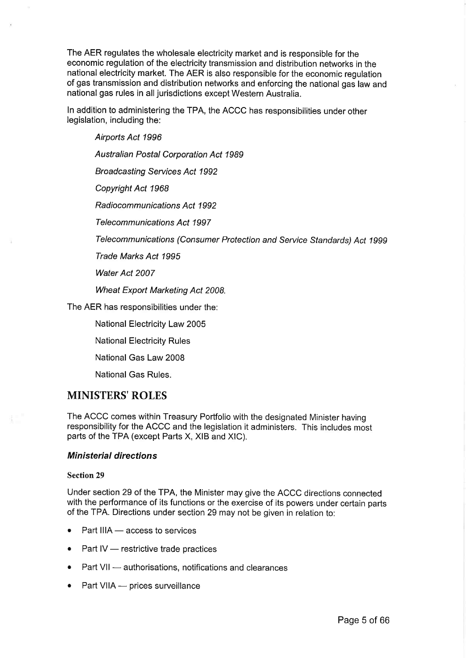The AER regulates the wholesale electricity market and is responsible for the economic regulation of the electricity transmission and distribution networks in the national electricity market. The AER is also responsible for the economic regulation of gas transmission and distribution networks and enforcing the national gas law and national gas rules in all jurisdictions except Western Australia.

In addition to administering the TPA, the ACCC has responsibilities under other legislation, including the:

Airports Act 1996 Australian Postal Corporation Act 1989

Broadcasting Services Act 1992

Copyright Act 1968

Radiocommunications Act 1992

Telecommunications Act 1997

Telecommunications (Consumer Protection and Service Standards) Act 1999

Trade Marks Act 1995

Water Act 2007

Wheat Export Marketing Act 2008.

The AER has responsibilities under the:

National Electricity Law 2005

National Electricity Rules

National Gas Law 2008

National Gas Rules.

### MINISTERS'ROLES

The ACCC comes within Treasury Portfolio with the designated Minister having responsibility for the ACCC and the legislation it administers. This includes most parts of the TPA (except Parts X, XIB and XIC).

#### **Ministerial directions**

#### Section 29

Under section 29 of the TPA, the Minister may give the ACCC directions connected with the performance of its functions or the exercise of its powers under certain parts of the TPA. Directions under section 29 may not be given in relation to:

- $\bullet$  Part IIIA — access to services
- Part IV — restrictive trade practices<br>
—
- $\bullet$  Part VII  $-$  authorisations, notifications and clearances<br> $-$
- $\bullet$  Part VIIA — prices surveillance<br>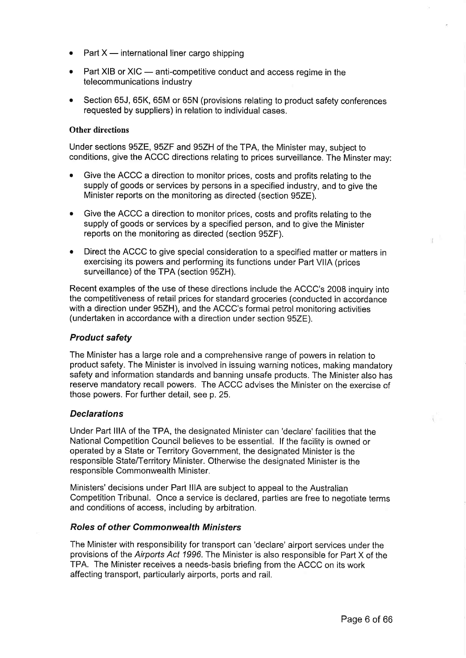- Part  $X$ — international liner cargo shipping<br>—
- $\bullet$  Part XIB or XIC anti-competitive conduct and access regime in the ran AID or AIC — anu-comp<br>telecommunications industry
- Section 65J, 65K, 65M or 65N (provisions relating to product safety conferences requested by suppliers) in relation to individual cases.

#### Other directions

Under sections 95ZE, 95ZF and 95ZH of the TPA, the Minister may, subject to conditions, give the ACCC directions relating to prices surveillance. The Minster may:

- Give the ACCC a direction to monitor prices, costs and profits relating to the supply of goods or services by persons in a specified industry, and to give the Minister reports on the monitoring as directed (section 95ZE),
- Give the ACCC a direction to monitor prices, costs and profits relating to the supply of goods or services by a specified person, and to give the Minister reports on the monitoring as directed (section 95ZF).
- Direct the ACCC to give special consideration to a specified matter or matters in exercising its powers and performing its functions under Part VllA (prices surveillance) of the TPA (section 95ZH).

Recent examples of the use of these directions include the ACCC's 2008 inquiry into the competitiveness of retail prices for standard groceries (conducted in accordance with a direction under 95ZH), and the ACCC's formal petrol monitoring activities (undertaken in accordance with a direction under section 95ZE).

#### Product safety

The Minister has a large role and a comprehensive range of powers in relation to product safety. The Minister is involved in issuing warning notices, making mandatory safety and information standards and banning unsafe products. The Minister also has reserve mandatory recall powers. The ACCC advises the Minister on the exercise of those powers. For further detail, see p. 25.

#### **Declarations**

Under Part lllA of the TPA, the designated Minister can 'declare'facilities that the National Competition Council believes to be essential. lf the facility is owned or operated by a State or Territory Government, the designated Minister is the responsible State/Territory Minister. Otherwise the designated Minister is the responsible Commonwealth Minister.

Ministers' decisions under Part lllA are subject to appeal to the Australian Competition Tribunal. Once a service is declared, parties are free to negotiate terms and conditions of access, including by arbitration.

#### Roles of other Commonwealth Ministers

The Minister with responsibility for transport can 'declare' airport services under the provisions of the Airports Act 1996. The Minister is also responsible for Part X of the TPA. The Minister receives a needs-basis briefing from the ACCC on its work affecting transport, particularly airports, ports and rail.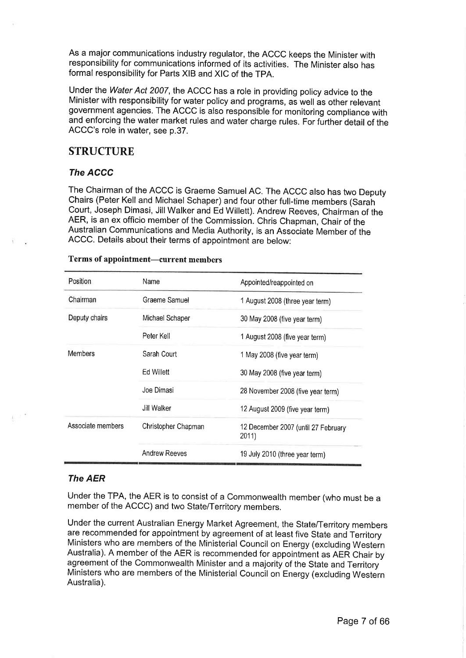As a major communications industry regulator, the ACCC keeps the Minister with responsibility for communications informed of its activities. The Minister also has formal responsibility for Parts XIB and XIC of the TpA.

Under the Water Act 2007, the ACCC has a role in providing policy advice to the Minister with responsibility for water policy and programs, as well as other relevant government agencies. The ACCC is also responsible for monitoring compliance with and enforcing the water market rules and water charge rules. For further detail of the ACCC's role in water, see p.37.

## STRUCTURE

### The ACCC

The Chairman of the ACCC is Graeme Samuel AC. The ACCC also has two Deputy Chairs (Peter Kell and Michael Schaper) and four other full-time members (Sarah Court, Joseph Dimasi, Jill Walker and Ed Willett). Andrew Reeves, Chairman of the AER, is an ex officio member of the commission. chris chapman, chair of the Australian Communications and Media Authority, is an Associate Member of the ACCC. Details about their terms of appointment are below:

| Position          | Name                 | Appointed/reappointed on                     |
|-------------------|----------------------|----------------------------------------------|
| Chairman          | Graeme Samuel        | 1 August 2008 (three year term)              |
| Deputy chairs     | Michael Schaper      | 30 May 2008 (five year term)                 |
|                   | Peter Kell           | 1 August 2008 (five year term)               |
| <b>Members</b>    | Sarah Court          | 1 May 2008 (five year term)                  |
|                   | Ed Willett           | 30 May 2008 (five year term)                 |
|                   | Joe Dimasi           | 28 November 2008 (five year term)            |
|                   | Jill Walker          | 12 August 2009 (five year term)              |
| Associate members | Christopher Chapman  | 12 December 2007 (until 27 February<br>2011) |
|                   | <b>Andrew Reeves</b> | 19 July 2010 (three year term)               |

#### Terms of appointment-current members

#### The AER

Under the TPA, the AER is to consist of a Commonwealth member (who must be <sup>a</sup> member of the ACCC) and two State/Territory members.

Under the current Australian Energy Market Agreement, the State/Territory members are recommended for appointment by agreement of at least five State and Territory Ministers who are members of the Ministerial Council on Energy (excluding Western Australia). A member of the AER is recommended for appointment as AER Chair by agreement of the Commonwealth Minister and a majority of the State and Territory Ministers who are members of the Ministerial Council on Energy (excluding Western Australia).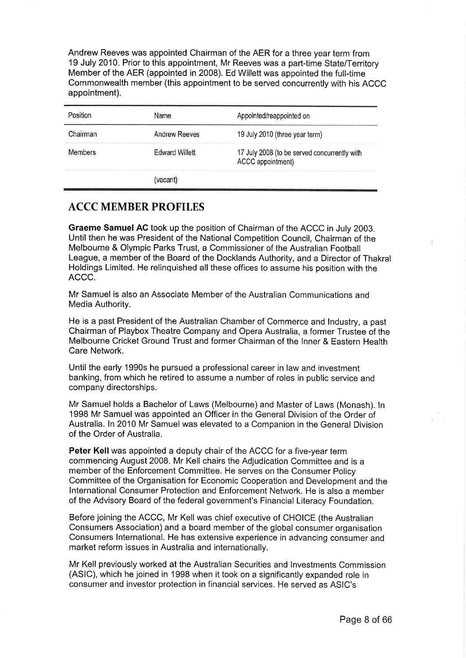Andrew Reeves was appointed Chairman of the AER for a three year term from 19 July 2010. Prior to this appointment, Mr Reeves was a part-time State/Territory Member of the AER (appointed in 2008). Ed Willett was appointed the full-time Commonwealth member (this appointment to be served concurrently with his ACCC appointment).

| Position | Name                  | Appointed/reappointed on                                          |
|----------|-----------------------|-------------------------------------------------------------------|
| Chairman | <b>Andrew Reeves</b>  | 19 July 2010 (three year term)                                    |
| Members  | <b>Edward Willett</b> | 17 July 2008 (to be served concurrently with<br>ACCC appointment) |
|          | (vacant)              |                                                                   |

## **ACCC MEMBER PROFILES**

Graeme Samuel AG took up the position of Chairman of the ACCC in July 2003. Until then he was President of the National Competition Council, Chairman of the Melbourne & Olympic Parks Trust, a Commissioner of the Australian Football League, a member of the Board of the Docklands Authority, and a Director of Thakral Holdings Limited. He relinquished all these offices to assume his position with the ACCC.

Mr Samuel is also an Associate Member of the Australian Communications and Media Authority.

He is a past President of the Australian Chamber of Commerce and Industry, a past Chairman of Playbox Theatre Company and Opera Australia, a former Trustee of the Melbourne Cricket Ground Trust and former Chairman of the Inner & Eastern Health Care Network.

Until the early 1990s he pursued a professional career in law and investment banking, from which he retired to assume a number of roles in public service and company directorships.

Mr Samuel holds a Bachelor of Laws (Melbourne) and Master of Laws (Monash). In 1998 Mr Samuel was appointed an Officer in the General Division of the Order of Australia. ln 2010 Mr Samuel was elevated to a Companion in the General Division of the Order of Australia.

Peter Kell was appointed a deputy chair of the ACCC for a five-year term commencing August 2008. Mr Kell chairs the Adjudication Committee and is a member of the Enforcement Committee. He serves on the Consumer Policy Committee of the Organisation for Economic Cooperation and Development and the International Consumer Protection and Enforcement Network. He is also a member of the Advisory Board of the federal government's Financial Literacy Foundation.

Before joining the ACCC, Mr Kell was chief executive of CHOICE (the Australian Consumers Association) and a board member of the global consumer organisation Consumers International. He has extensive experience in advancing consumer and market reform issues in Australia and internationally.

Mr Kell previously worked at the Australian Securities and Investments Commission (ASIC), which he joined in 1998 when it took on a significantly expanded role in consumer and investor protection in financial services. He served as ASIC's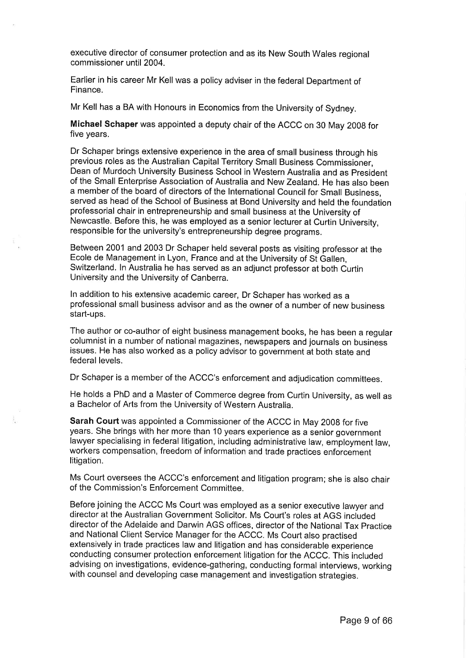executive director of consumer protection and as its New South Wales regional commissioner until 2004.

Earlier in his career Mr Kell was a policy adviser in the federal Department of Finance.

Mr Kell has a BA with Honours in Economics from the University of Sydney.

Michael Schaper was appointed a deputy chair of the ACCC on 30 May 2008 for five years.

Dr Schaper brings extensive experience in the area of small business through his previous roles as the Australian Capital Territory Small Business Commissioner, Dean of Murdoch University Business School in Western Australia and as President of the Small Enterprise Association of Australia and New Zealand. He has also been a member of the board of directors of the International Council for Small Business, served as head of the School of Business at Bond University and held the foundation professorial chair in entrepreneurship and small business at the University of Newcastle. Before this, he was employed as a senior lecturer at Curtin University, responsible for the university's entrepreneurship degree programs.

Between 2001 and 2003 Dr Schaper held several posts as visiting professor at the Ecole de Management in Lyon, France and at the University of St Gallen. Switzerland. In Australia he has served as an adjunct professor at both Curtin University and the University of Canberra.

In addition to his extensive academic career, Dr schaper has worked as a professional small business advisor and as the owner of a number of new business start-ups.

The author or co-author of eight business management books, he has been a regular columnist in a number of national magazines, newspapers and journals on business issues. He has also worked as a policy advisor to government at both state and federal levels.

Dr Schaper is a member of the ACCC's enforcement and adjudication committees.

He holds a PhD and a Master of Commerce degree from Curtin University, as well as a Bachelor of Arts from the University of Western Australia.

Sarah Gourt was appointed a commissioner of the Accc in May 2008 for five years. She brings with her more than 10 years experience as a senior government lawyer specialising in federal litigation, including administrative law, employment law, workers compensation, freedom of information and trade practices enforcement litigation.

Ms Court oversees the ACCC's enforcement and litigation program; she is also chair of the Commission's Enforcement Committee.

Before joining the ACCC Ms Court was employed as a senior executive lawyer and director at the Australian Government Solicitor. Ms Court's roles at AGS included director of the Adelaide and Darwin AGS offices, director of the National Tax Practice and National Client Service Manager for the ACcc. Ms Court also practised extensively in trade practices law and litigation and has considerable experience conducting consumer protection enforcement litigation for the ACCC. This included advising on investigations, evidence-gathering, conducting formal interviews, working with counsel and developing case management and investigation strategies.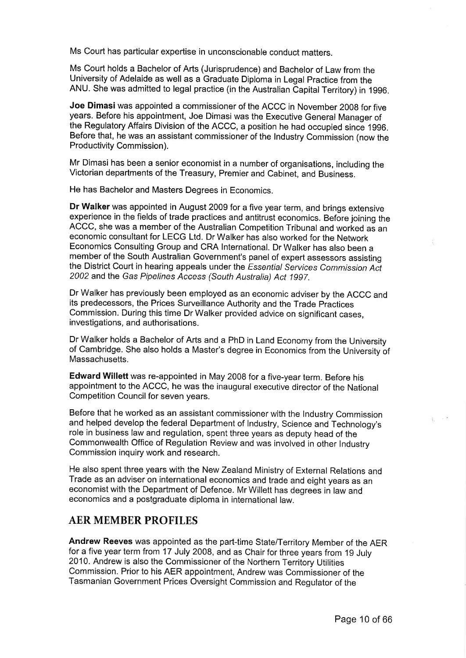Ms court has particular expertise in unconscionable conduct matters.

Ms Court holds a Bachelor of Arts (Jurisprudence) and Bachelor of Law from the University of Adelaide as well as a Graduate Diploma in Legal Practice from the ANU. She was admitted to legal practice (in the Australian Capital Territory) in 1996.

Joe Dimasi was appointed a commissioner of the ACCC in November 2008 for five years. Before his appointment, Joe Dimasi was the Executive General Manager of the Regulatory Affairs Division of the ACCC, a position he had occupied since 1g96. Before that, he was an assistant commissioner of the Industry Commission (now the Productivity Commission).

Mr Dimasi has been a senior economist in a number of organisations, including the Victorian departments of the Treasury, Premier and cabinet, and Business.

He has Bachelor and Masters Degrees in Economics.

Dr Walker was appointed in August 2009 for a five year term, and brings extensive experience in the fields of trade practices and antitrust economics. Before joining the ACCC, she was a member of the Australian Competition Tribunal and worked as an economic consultant for LECG Ltd. Dr Walker has also worked for the Network Economics Consulting Group and CRA International. Dr Walker has also been <sup>a</sup> member of the South Australian Government's panel of expert assessors assisting the District Court in hearing appeals under the Essential Services Commission Act 2002 and the Gas Pipelines Access (South Australia) Act 1997.

Dr Walker has previously been employed as an economic adviser by the ACCC and its predecessors, the Prices Surveillance Authority and the Trade Practices Commission. During this time Dr Walker provided advice on significant cases, investigations, and authorisations.

Dr Walker holds a Bachelor of Arts and a PhD in Land Economy from the University of Cambridge. She also holds a Master's degree in Economics from the University of Massachusetts.

Edward willett was re-appointed in May 2008 for a five-year term. Before his appointment to the ACCC, he was the inaugural executive director of the National Competition Council for seven years.

Before that he worked as an assistant commissioner with the Industry Commission and helped develop the federal Department of Industry, Science and Technology's role in business law and regulation, spent three years as deputy head of the Commonwealth Office of Regulation Review and was involved in other Industry Commission inquiry work and research.

He also spent three years with the New Zealand Ministry of External Relations and Trade as an adviser on international economics and trade and eight years as an economist with the Department of Defence. Mr Willett has degrees in law and economics and a postgraduate diploma in international law.

### AER MEMBER PROFILES

Andrew Reeves was appointed as the part-time State/Territory Member of the AER for a five year term from 17 July 2008, and as Chair for three years from 1g July 2010. Andrew is also the Commissioner of the Northern Territory Utilities commission. Prior to his AER appointment, Andrew was Commissioner of the Tasmanian Government Prices oversight Commission and Regulator of the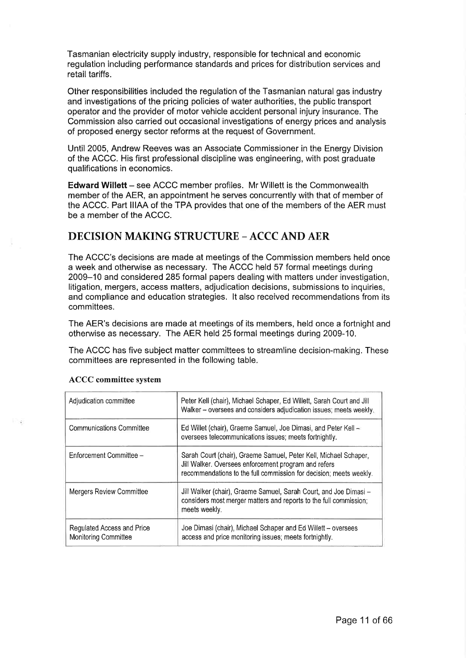Tasmanian electricity supply industry, responsible for technical and economic regulation including performance standards and prices for distribution services and retail tariffs.

Other responsibilities included the regulation of the Tasmanian natural gas industry and investigations of the pricing policies of water authorities, the public transport operator and the provider of motor vehicle accident personal injury insurance. The Commission also carried out occasional investigations of energy prices and analysis of proposed energy sector reforms at the request of Government.

Until 2005, Andrew Reeves was an Associate Commissioner in the Energy Division of the ACCC. His first professional discipline was engineering, with post graduate qualifications in economics.

Edward Willett - see ACCC member profiles. Mr Willett is the Commonwealth member of the AER, an appointment he serves concurrently with that of member of the ACCC. Part lllAA of the TPA provides that one of the members of the AER must be a member of the ACCC.

## DECISION MAKING STRUCTURE - ACCC AND AER

The ACCC's decisions are made at meetings of the Commission members held once a week and otherwise as necessary. The ACCC held 57 formal meetings during 2009-10 and considered 285 formal papers dealing with matters under investigation, litigation, mergers, access matters, adjudication decisions, submissions to inquiries, and compliance and education strategies. lt also received recommendations from its committees.

The AER's decisions are made at meetings of its members, held once a fortnight and otherwise as necessary. The AER held 25 formal meetings during 2009-10.

The ACCC has five subject matter committees to streamline decision-making. These committees are represented in the following table.

| Adjudication committee                             | Peter Kell (chair), Michael Schaper, Ed Willett, Sarah Court and Jill<br>Walker - oversees and considers adjudication issues; meets weekly.                                                    |  |  |
|----------------------------------------------------|------------------------------------------------------------------------------------------------------------------------------------------------------------------------------------------------|--|--|
| <b>Communications Committee</b>                    | Ed Willet (chair), Graeme Samuel, Joe Dimasi, and Peter Kell -<br>oversees telecommunications issues; meets fortnightly.                                                                       |  |  |
| Enforcement Committee -                            | Sarah Court (chair), Graeme Samuel, Peter Kell, Michael Schaper,<br>Jill Walker. Oversees enforcement program and refers<br>recommendations to the full commission for decision; meets weekly. |  |  |
| Mergers Review Committee                           | Jill Walker (chair), Graeme Samuel, Sarah Court, and Joe Dimasi -<br>considers most merger matters and reports to the full commission;<br>meets weekly.                                        |  |  |
| Regulated Access and Price<br>Monitoring Committee | Joe Dimasi (chair), Michael Schaper and Ed Willett - oversees<br>access and price monitoring issues; meets fortnightly.                                                                        |  |  |

#### ACCC committee system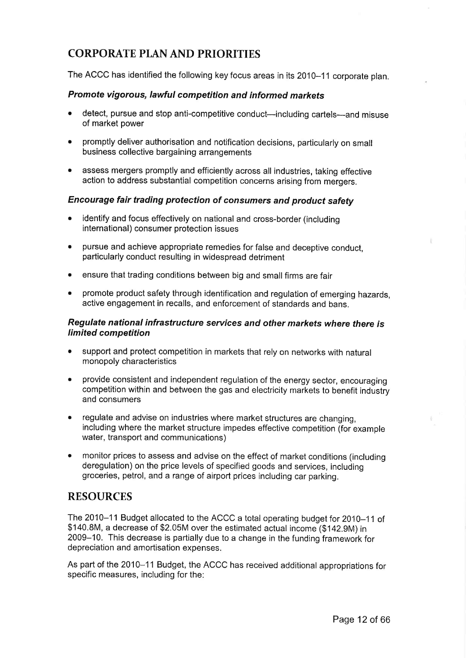# CORPORATE PIAN AND PRIORITIES

The ACCC has identified the following key focus areas in its 2010-11 corporate plan.

### Promote vigorous, Iawful competition and informed markets

- detect, pursue and stop anti-competitive conduct-including cartels-and misuse of market power
- promptly deliver authorisation and notification decisions, particularly on small business collective bargaining arrangements
- . assess mergers promptly and efficiently across all industries, taking effective action to address substantial competition concerns arising from mergers.

### Encourage fair trading protection of consumers and product safety

- identify and focus effectively on national and cross-border (including international) consumer protection issues
- . pursue and achieve appropriate remedies for false and deceptive conduct, particularly conduct resulting in widespread detriment
- . ensure that trading conditions between big and small firms are fair
- promote product safety through identification and regulation of emerging hazards, active engagement in recalls, and enforcement of standards and bans.

#### Regulate national infrastructure services and other markets where there is limited competition

- . support and protect competition in markets that rely on networks with natural monopoly characteristics
- provide consistent and independent regulation of the energy sector, encouraging competition within and between the gas and electricity markets to benefit industry and consumers
- regulate and advise on industries where market structures are changing, including where the market structure impedes effective competition (for example water, transport and communications)
- monitor prices to assess and advise on the effect of market conditions (including deregulation) on the price levels of specified goods and services, including groceries, petrol, and a range of airport prices including car parking.

## RESOURCES

The 2010-11 Budget allocated to the ACCC a total operating budget for 2010-11 of \$140.8M, a decrease of \$2.05M over the estimated actual income (\$142.gM) in 2009-10. This decrease is partially due to a change in the funding framework for depreciation and amortisation expenses.

As part of the 2010-11 Budget, the ACCC has received additional appropriations for specific measures, including for the: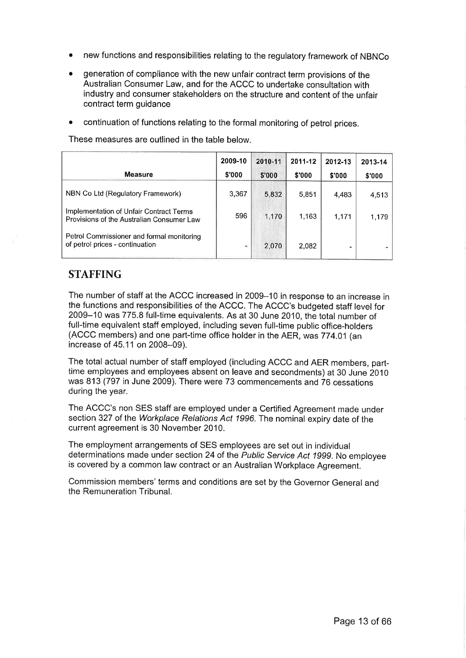- . new functions and responsibilities relating to the regulatory framework of NBNCo
- . generation of compliance with the new unfair contract term provisions of the Australian Consumer Law, and for the ACCC to undertake consultation with industry and consumer stakeholders on the structure and content of the unfair contract term guidance
- o continuation of functions relating to the formal monitoring of petrol prices.

These measures are outlined in the table below.

| <b>Measure</b>                                                                       | 2009-10<br>\$'000 | 2010-11<br>\$'000 | 2011-12<br>\$'000 | 2012-13<br>\$'000 | 2013-14<br>\$'000 |
|--------------------------------------------------------------------------------------|-------------------|-------------------|-------------------|-------------------|-------------------|
| NBN Co Ltd (Regulatory Framework)                                                    | 3,367             | 5,832             | 5,851             | 4,483             | 4,513             |
| Implementation of Unfair Contract Terms<br>Provisions of the Australian Consumer Law | 596               | 1,170             | 1,163             | 1.171             | 1,179             |
| Petrol Commissioner and formal monitoring<br>of petrol prices - continuation         | ٠                 | 2,070             | 2,082             |                   |                   |

# STAFFING

The number of staff at the ACCC increased in 2009-10 in response to an increase in the functions and responsibilities of the ACCC. The ACCC's budgeted staff level for 2009-10 was 775.8 full-time equivalents. As at 30 June 2010, the total number of full-time equivalent staff employed, including seven full-time public office-holders (ACCC members) and one part-time office holder in the AER, was 774.01 (an increase of 45.11 on 2008-09).

The total actual number of staff employed (including ACCC and AER members, parttime employees and employees absent on leave and secondments) at 30 June 2010 was 813 (797 in June 2009). There were 73 commencements and 76 cessations during the year.

The ACCC's non SES staff are employed under a Certified Agreement made under section 327 of the Workplace Relations Act 1996. The nominal expiry date of the current agreement is 30 November 2010.

The employment arrangements of sES employees are set out in individual determinations made under section 24 of the Public Service Act 1999. No employee is covered by a common law contract or an Australian workplace Agreement.

Commission members'terms and conditions are set by the Governor General and the Remuneration Tribunal.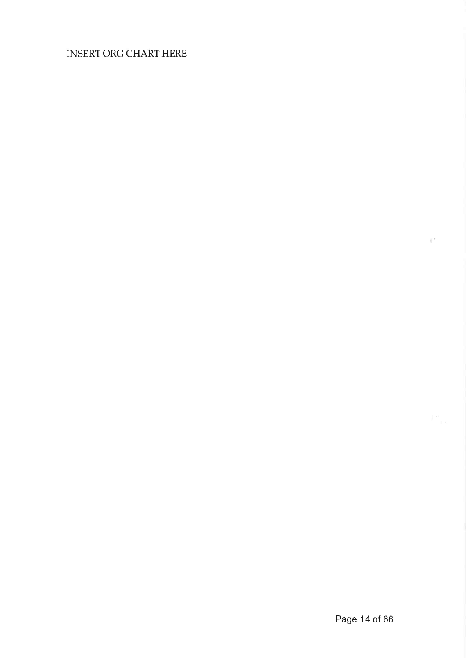# INSERT ORG CHART HERE

 $\tilde{\chi}^{\rm eff}$ 

 $\mathbb{P}_{\infty}^*$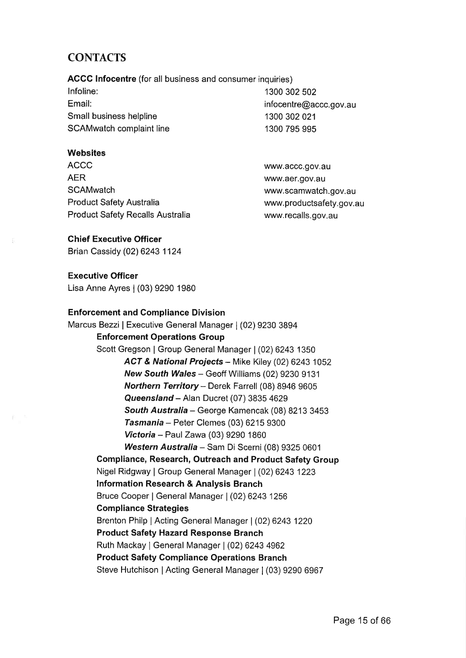# **CONTACTS**

ACCC Infocentre (for all business and consumer inquiries)

Infoline: Email: Small business helpline SCAMwatch complaint line

#### **Websites**

ACCC AER **SCAMwatch Product Safety Australia** Product Safety Recalls Australia 1300 302 502 infocentre@accc.gov.au 1300 302 021 1300 795 995

www.accc.gov.au www.aer.gov.au www.scamwatch.gov.au www.productsafety.gov.au www.recalls.gov.au

### Ghief Executive Officer

Brian Cassidy (02) 62431124

Executive Officer

Lisa Anne Ayres | (03) 9290 1980

### Enforcement and Compliance Division

Marcus Bezzi | Executive General Manager | (02) 9230 3894 Enforcement Operations Group Scott Gregson | Group General Manager | (02) 6243 1350 ACT & National Projects - Mike Kiley (02) 6243 1052 **New South Wales - Geoff Williams (02) 9230 9131 Northern Territory** - Derek Farrell (08) 8946 9605 Queensland - Alan Ducret (07) 3835 4629 South Australia - George Kamencak (08) 8213 3453 Tasmania - Peter Clemes (03) 6215 9300 Victoria - Paul Zawa (03) 9290 <sup>1860</sup> Western Australia - Sam Di Scerni (08) 9325 0601 Compliance, Research, Outreach and Product Safety Group Nigel Ridgway I Group General Manager | (02) 6243 1223 lnformation Research & Analysis Branch Bruce Cooper | General Manager | (02) 6243 1256 Gompliance Strategies Brenton Philp | Acting General Manager | (02) 6243 1220 Product Safety Hazard Response Branch Ruth Mackay I General Manager | (02) 6243 4962 Product Safety Gompliance Operations Branch Steve Hutchison | Acting General Manager | (03) 9290 6967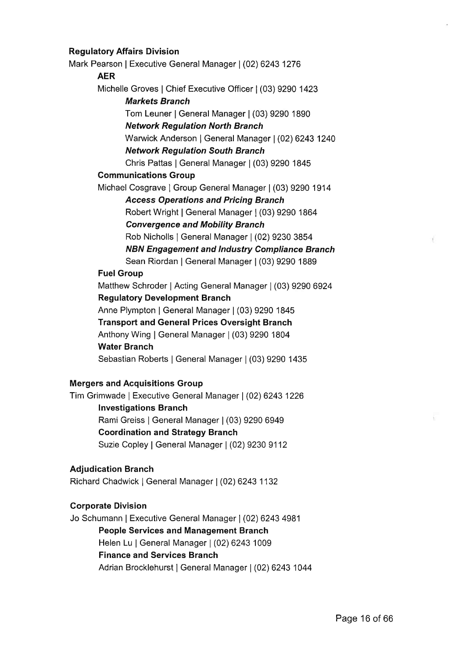### **Regulatory Affairs Division**

Mark Pearson | Executive General Manager | (02) 6243 1276 AER Michelle Groves I Chief Executive Officer | (03) 9290 1423 Markets Branch Tom Leuner I General Manager | (03) 9290 1890 Network Regulation North Branch Warwick Anderson | General Manager | (02) 6243 1240 **Network Regulation South Branch** Chris Pattas I General Manager | (03) 9290 1845 Gommunications Group Michael Cosgrave I Group General Manager | (03) 9290 1914 Access Operations and Pricing Branch Robert Wright | General Manager | (03) 9290 1864 Convergence and Mobility Branch Rob Nicholls I General Manager | (02) 9230 3854 NBN Engagement and lndustry Compliance Branch Sean Riordan | General Manager | (03) 9290 1889 Fuel Group Matthew Schroder I Acting General Manager | (03) 9290 6924 **Regulatory Development Branch** Anne Plympton | General Manager | (03) 9290 1845 Transport and General Prices Oversight Branch Anthony Wing | General Manager | (03) 9290 1804 Water Branch Sebastian Roberts | General Manager | (03) 9290 1435

#### Mergers and Acquisitions Group

Tim Grimwade | Executive General Manager | (02) 6243 1226 Investigations Branch Rami Greiss I General Manager | (03) 9290 6949 Goordination and Strategy Branch Suzie Copley I General Manager | (02) 9230 9112

#### Adjudication Branch

Richard Chadwick | General Manager | (02) 6243 1132

#### Corporate Division

Jo Schumann | Executive General Manager | (02) 6243 4981 People Services and Management Branch Helen Lu | General Manager | (02) 6243 1009 Finance and Services Branch Adrian Brocklehurst | General Manager | (02) 6243 1044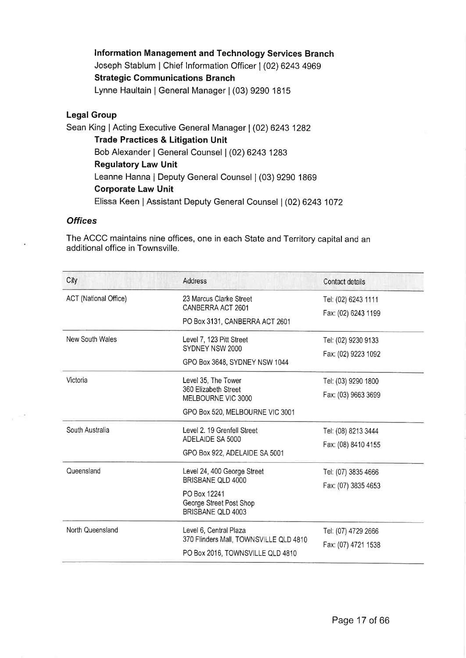Information Management and Technology Services Branch Joseph Stablum | Chief Information Officer | (02) 6243 4969 Strategic Gommunications Branch Lynne Haultain | General Manager | (03) 9290 1815

### Legal Group

Sean King | Acting Executive General Manager | (02) 6243 1282 Trade Practices & Litigation Unit Bob Alexander | General Counsel | (02) 6243 1283 Regulatory Law Unit Leanne Hanna | Deputy General Counsel | (03) 9290 1869 Corporate Law Unit Elissa Keen | Assistant Deputy General Counsel | (02) 6243 1072

#### **Offices**

The ACCC maintains nine offices, one in each State and Territory capital and an additional office in Townsville.

| City                                                                                                                           | Address                                                                    | Contact details     |
|--------------------------------------------------------------------------------------------------------------------------------|----------------------------------------------------------------------------|---------------------|
| ACT (National Office)                                                                                                          | 23 Marcus Clarke Street<br>CANBERRA ACT 2601                               | Tel: (02) 6243 1111 |
|                                                                                                                                | PO Box 3131, CANBERRA ACT 2601                                             | Fax: (02) 6243 1199 |
| New South Wales                                                                                                                | Level 7, 123 Pitt Street<br>SYDNEY NSW 2000                                |                     |
|                                                                                                                                | GPO Box 3648, SYDNEY NSW 1044                                              | Fax: (02) 9223 1092 |
| Victoria                                                                                                                       | Level 35, The Tower                                                        | Tel: (03) 9290 1800 |
|                                                                                                                                | 360 Elizabeth Street<br>MELBOURNE VIC 3000                                 | Fax: (03) 9663 3699 |
|                                                                                                                                | GPO Box 520, MELBOURNE VIC 3001                                            |                     |
| South Australia                                                                                                                | Level 2, 19 Grenfell Street                                                | Tel: (08) 8213 3444 |
|                                                                                                                                | ADELAIDE SA 5000<br>GPO Box 922, ADELAIDE SA 5001                          | Fax: (08) 8410 4155 |
| Queensland<br>Level 24, 400 George Street<br>BRISBANE QLD 4000<br>PO Box 12241<br>George Street Post Shop<br>BRISBANE QLD 4003 | Tel: (07) 3835 4666                                                        |                     |
|                                                                                                                                |                                                                            | Fax: (07) 3835 4653 |
|                                                                                                                                |                                                                            |                     |
| North Queensland                                                                                                               | Level 6, Central Plaza                                                     | Tel: (07) 4729 2666 |
|                                                                                                                                | 370 Flinders Mall, TOWNSVILLE QLD 4810<br>PO Box 2016, TOWNSVILLE QLD 4810 | Fax: (07) 4721 1538 |
|                                                                                                                                |                                                                            |                     |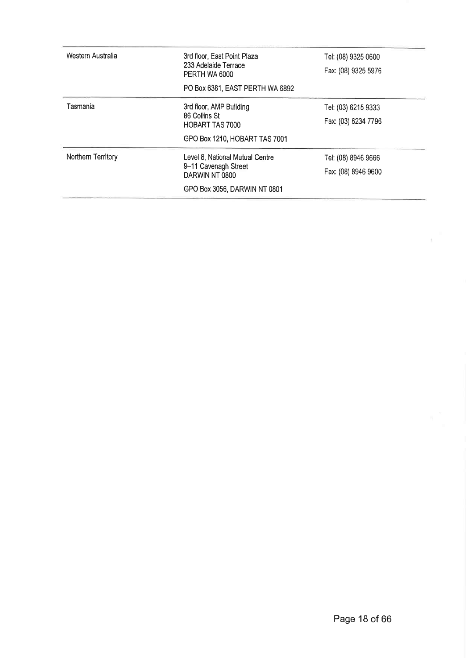| Western Australia  | 3rd floor, East Point Plaza<br>233 Adelaide Terrace<br>PERTH WA 6000<br>PO Box 6381, EAST PERTH WA 6892   | Tel: (08) 9325 0600<br>Fax: (08) 9325 5976 |
|--------------------|-----------------------------------------------------------------------------------------------------------|--------------------------------------------|
| Tasmania           | 3rd floor, AMP Building<br>86 Collins St<br>HOBART TAS 7000<br>GPO Box 1210, HOBART TAS 7001              | Tel: (03) 6215 9333<br>Fax: (03) 6234 7796 |
| Northern Territory | Level 8, National Mutual Centre<br>9-11 Cavenagh Street<br>DARWIN NT 0800<br>GPO Box 3056, DARWIN NT 0801 | Tel: (08) 8946 9666<br>Fax: (08) 8946 9600 |

 $\bar{g}$ 

 $\widetilde{\mathcal{C}}$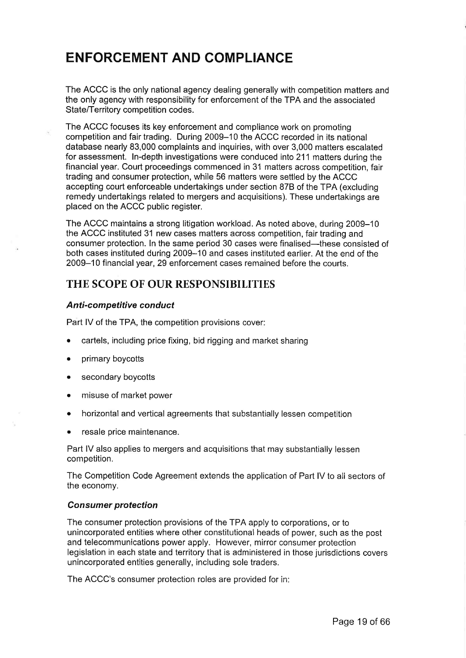# ENFORCEMENT AND COMPLIANCE

The ACCC is the only national agency dealing generally with competition matters and the only agency with responsibility for enforcement of the TPA and the associated State/Territory competition codes.

The ACCC focuses its key enforcement and compliance work on promoting competition and fair trading. During 2009-10 the ACCC recorded in its national database nearly 83,000 complaints and inquiries, with over 3,000 matters escalated for assessment. In-depth investigations were conduced into 211 matters during the financialyear. Court proceedings commenced in 31 matters across competition, fair trading and consumer protection, while 56 matters were settled by the ACCC accepting court enforceable undertakings under section 878 of the TPA (excluding remedy undertakings related to mergers and acquisitions). These undertakings are placed on the ACCC public register.

The ACCC maintains a strong litigation workload. As noted above, during 2009-10 the ACCC instituted 31 new cases matters across competition, fair trading and consumer protection. ln the same period 30 cases were finalised-these consisted of both cases instituted during 2009-10 and cases instituted earlier. At the end of the 2009-10 financial year,29 enforcement cases remained before the courts.

## THE SCOPE OF OUR RESPONSIBILITIES

#### **Anti-competitive conduct**

Part lV of the TPA, the competition provisions cover:

- cartels, including price fixing, bid rigging and market sharing
- primary boycotts
- secondary boycotts
- misuse of market power
- horizontal and vertical agreements that substantially lessen competition
- . resale orice maintenance.

Part lV also applies to mergers and acquisitions that may substantially lessen competition.

The Competition Code Agreement extends the application of Part lV to all sectors of the economy.

#### Consumer protection

The consumer protection provisions of the TPA apply to corporations, or to unincorporated entities where other constitutional heads of power, such as the post and telecommunications power apply. However, mirror consumer protection legislation in each state and territory that is administered in those jurisdictions covers unincorporated entities generally, including sole traders.

The ACCC's consumer protection roles are provided for in: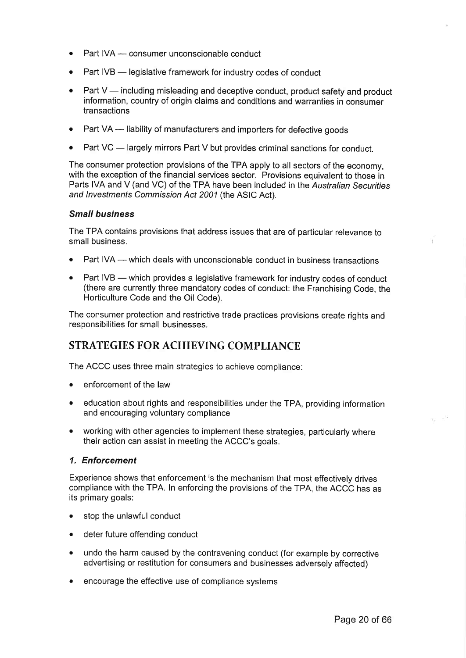- Part IVA — consumer unconscionable conduct<br>—
- Part IVB — legislative framework for industry codes of conduct<br>—
- $\bullet$  Part V including misleading and deceptive conduct, product safety and product Part v — including misleading and deceptive conduct, product safety and prodi<br>information, country of origin claims and conditions and warranties in consumel transactions
- Part VA — liability of manufacturers and importers for defective goods<br>—
- Part  $VC$  $-$  largely mirrors Part V but provides criminal sanctions for conduct.  $\,$

The consumer protection provisions of the TPA apply to all sectors of the economy, with the exception of the financial services sector. Provisions equivalent to those in Parts IVA and V (and VC) of the TPA have been included in the Australian Securities and lnvestments Commission Act 2001 (the ASIC Act).

#### **Small business**

The TPA contains provisions that address issues that are of particular relevance to small business.

- $\bullet$  Part IVA  $-$  which deals with unconscionable conduct in business transactions<br> $\,$
- Part IVB — which provides a legislative framework for industry codes of conduct<br>a currently three mandatory codes of conduct: the Franchising Code, th (there are currently three mandatory codes of conduct: the Franchising Code, the Horticulture Code and the Oil Code).

The consumer protection and restrictive trade practices provisions create rights and responsibilities for small businesses.

## STRATEGIES FOR ACHIEVING COMPLIANCE

The ACCC uses three main strategies to achieve compliance:

- enforcement of the law
- education about rights and responsibilities under the TPA, providing information and encouraging voluntary compliance
- working with other agencies to implement these strategies, particularly where their action can assist in meeting the ACCC's goals.

#### 1. Enforcement

Experience shows that enforcement is the mechanism that most effectively drives compliance with the TPA. In enforcing the provisions of the TPA, the ACCC has as its primary goals:

- . stop the unlawful conduct
- deter future offending conduct
- . undo the harm caused by the contravening conduct (for example by corrective advertising or restitution for consumers and businesses adversely affected)
- . encourage the effective use of compliance systems